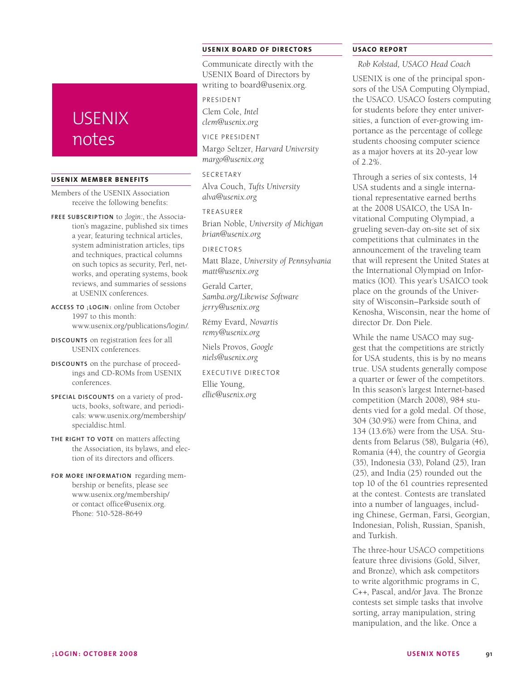# **USENIX** notes

#### **USENIX Member Benefits**

- Members of the USENIX Association receive the following benefits:
- **Free subscription** to *;login:*, the Association's magazine, published six times a year, featuring technical articles, system administration articles, tips and techniques, practical columns on such topics as security, Perl, networks, and operating systems, book reviews, and summaries of sessions at USENIX conferences.
- **Access to ;login:** online from October 1997 to this month: www.usenix.org/publications/login/.
- **Discounts** on registration fees for all USENIX conferences.
- **Discounts** on the purchase of proceedings and CD-ROMs from USENIX conferences.
- **Special discounts** on a variety of products, books, software, and periodicals: www.usenix.org/membership/ specialdisc.html.
- THE RIGHT TO VOTE on matters affecting the Association, its bylaws, and election of its directors and officers.
- **For more information** regarding membership or benefits, please see www.usenix.org/membership/ or contact office@usenix.org. Phone: 510-528-8649

# **USENIX BOARD OF DIRECTORS**

Communicate directly with the USENIX Board of Directors by writing to board@usenix.org.

President

Clem Cole, *Intel clem@usenix.org*

Vice President

Margo Seltzer, *Harvard University margo@usenix.org*

SECRETARY Alva Couch, *Tufts University alva@usenix.org*

### Treasurer

Brian Noble, *University of Michigan brian@usenix.org*

#### Directors

Matt Blaze, *University of Pennsylvania matt@usenix.org*

Gerald Carter, *Samba.org/Likewise Software jerry@usenix.org*

Rémy Evard, *Novartis remy@usenix.org*

Niels Provos, *Google niels@usenix.org*

Executive Director Ellie Young,

*ellie@usenix.org*

## **USACO REPORT**

*Rob Kolstad, USACO Head Coach*

USENIX is one of the principal sponsors of the USA Computing Olympiad, the USACO. USACO fosters computing for students before they enter universities, a function of ever-growing importance as the percentage of college students choosing computer science as a major hovers at its 20-year low of 2.2%.

Through a series of six contests, 14 USA students and a single international representative earned berths at the 2008 USAICO, the USA Invitational Computing Olympiad, a grueling seven-day on-site set of six competitions that culminates in the announcement of the traveling team that will represent the United States at the International Olympiad on Informatics (IOI). This year's USAICO took place on the grounds of the University of Wisconsin–Parkside south of Kenosha, Wisconsin, near the home of director Dr. Don Piele.

While the name USACO may suggest that the competitions are strictly for USA students, this is by no means true. USA students generally compose a quarter or fewer of the competitors. In this season's largest Internet-based competition (March 2008), 984 students vied for a gold medal. Of those, 304 (30.9%) were from China, and 134 (13.6%) were from the USA. Students from Belarus (58), Bulgaria (46), Romania (44), the country of Georgia (35), Indonesia (33), Poland (25), Iran (25), and India (25) rounded out the top 10 of the 61 countries represented at the contest. Contests are translated into a number of languages, including Chinese, German, Farsi, Georgian, Indonesian, Polish, Russian, Spanish, and Turkish.

The three-hour USACO competitions feature three divisions (Gold, Silver, and Bronze), which ask competitors to write algorithmic programs in C, C++, Pascal, and/or Java. The Bronze contests set simple tasks that involve sorting, array manipulation, string manipulation, and the like. Once a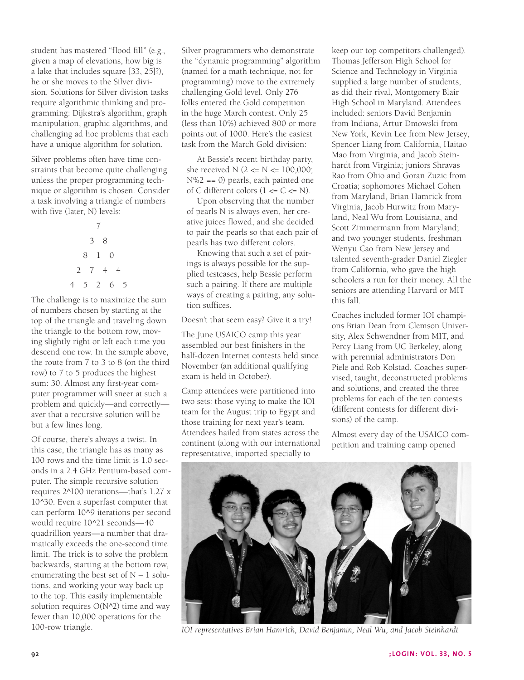student has mastered "flood fill" (e.g., given a map of elevations, how big is a lake that includes square [33, 25]?), he or she moves to the Silver division. Solutions for Silver division tasks require algorithmic thinking and programming: Dijkstra's algorithm, graph manipulation, graphic algorithms, and challenging ad hoc problems that each have a unique algorithm for solution.

Silver problems often have time constraints that become quite challenging unless the proper programming technique or algorithm is chosen. Consider a task involving a triangle of numbers with five (later, N) levels:

The challenge is to maximize the sum of numbers chosen by starting at the top of the triangle and traveling down the triangle to the bottom row, moving slightly right or left each time you descend one row. In the sample above, the route from 7 to 3 to 8 (on the third row) to 7 to 5 produces the highest sum: 30. Almost any first-year computer programmer will sneer at such a problem and quickly—and correctly aver that a recursive solution will be but a few lines long.

Of course, there's always a twist. In this case, the triangle has as many as 100 rows and the time limit is 1.0 seconds in a 2.4 GHz Pentium-based computer. The simple recursive solution requires 2^100 iterations—that's 1.27 x 10^30. Even a superfast computer that can perform 10^9 iterations per second would require 10^21 seconds—40 quadrillion years—a number that dramatically exceeds the one-second time limit. The trick is to solve the problem backwards, starting at the bottom row, enumerating the best set of  $N - 1$  solutions, and working your way back up to the top. This easily implementable solution requires  $O(N^2)$  time and way fewer than 10,000 operations for the 100-row triangle.

Silver programmers who demonstrate the "dynamic programming" algorithm (named for a math technique, not for programming) move to the extremely challenging Gold level. Only 276 folks entered the Gold competition in the huge March contest. Only 25 (less than 10%) achieved 800 or more points out of 1000. Here's the easiest task from the March Gold division:

At Bessie's recent birthday party, she received  $N$  (2 <=  $N$  <= 100,000; N%2 == 0) pearls, each painted one of C different colors  $(1 \leq C \leq N)$ .

Upon observing that the number of pearls N is always even, her creative juices flowed, and she decided to pair the pearls so that each pair of pearls has two different colors.

Knowing that such a set of pairings is always possible for the supplied testcases, help Bessie perform such a pairing. If there are multiple ways of creating a pairing, any solution suffices.

Doesn't that seem easy? Give it a try!

The June USAICO camp this year assembled our best finishers in the half-dozen Internet contests held since November (an additional qualifying exam is held in October).

Camp attendees were partitioned into two sets: those vying to make the IOI team for the August trip to Egypt and those training for next year's team. Attendees hailed from states across the continent (along with our international representative, imported specially to

keep our top competitors challenged). Thomas Jefferson High School for Science and Technology in Virginia supplied a large number of students, as did their rival, Montgomery Blair High School in Maryland. Attendees included: seniors David Benjamin from Indiana, Artur Dmowski from New York, Kevin Lee from New Jersey, Spencer Liang from California, Haitao Mao from Virginia, and Jacob Steinhardt from Virginia; juniors Shravas Rao from Ohio and Goran Zuzic from Croatia; sophomores Michael Cohen from Maryland, Brian Hamrick from Virginia, Jacob Hurwitz from Maryland, Neal Wu from Louisiana, and Scott Zimmermann from Maryland; and two younger students, freshman Wenyu Cao from New Jersey and talented seventh-grader Daniel Ziegler from California, who gave the high schoolers a run for their money. All the seniors are attending Harvard or MIT this fall.

Coaches included former IOI champions Brian Dean from Clemson University, Alex Schwendner from MIT, and Percy Liang from UC Berkeley, along with perennial administrators Don Piele and Rob Kolstad. Coaches supervised, taught, deconstructed problems and solutions, and created the three problems for each of the ten contests (different contests for different divisions) of the camp.

Almost every day of the USAICO competition and training camp opened



*IOI representatives Brian Hamrick, David Benjamin, Neal Wu, and Jacob Steinhardt*